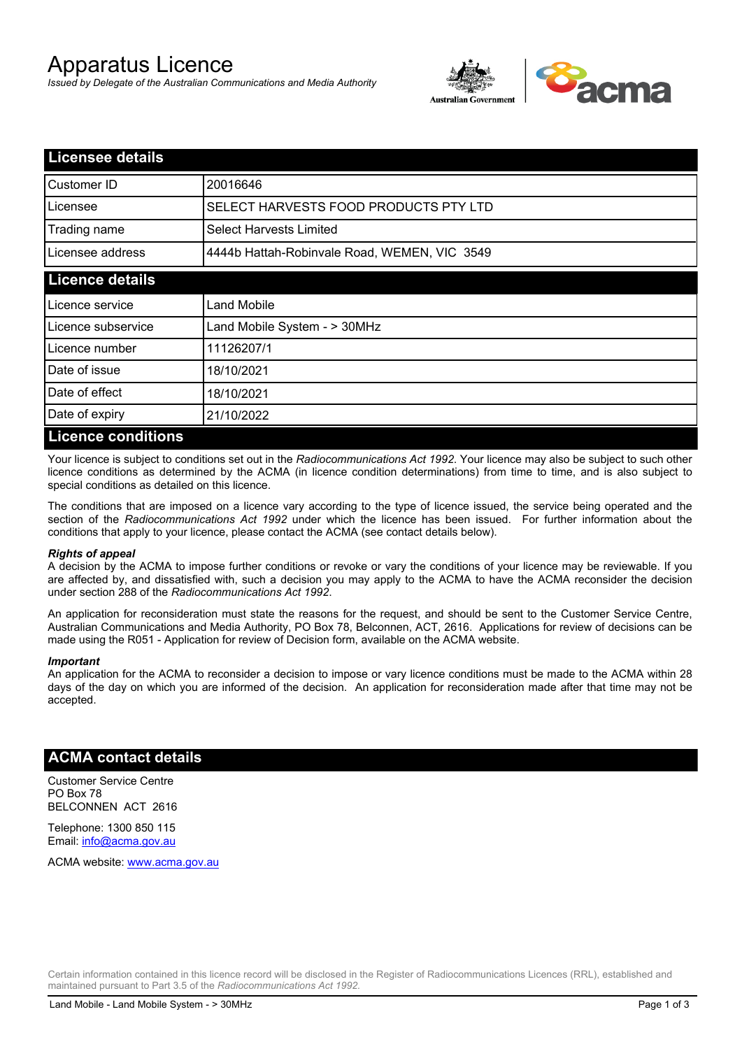# Apparatus Licence

*Issued by Delegate of the Australian Communications and Media Authority*



| <b>Licensee details</b>   |                                              |
|---------------------------|----------------------------------------------|
| Customer ID               | 20016646                                     |
| Licensee                  | SELECT HARVESTS FOOD PRODUCTS PTY LTD        |
| Trading name              | <b>Select Harvests Limited</b>               |
| Licensee address          | 4444b Hattah-Robinvale Road, WEMEN, VIC 3549 |
| <b>Licence details</b>    |                                              |
| Licence service           | Land Mobile                                  |
| Licence subservice        | Land Mobile System - > 30MHz                 |
| Licence number            | 11126207/1                                   |
| Date of issue             | 18/10/2021                                   |
| Date of effect            | 18/10/2021                                   |
| Date of expiry            | 21/10/2022                                   |
| <b>Licence conditions</b> |                                              |

Your licence is subject to conditions set out in the *Radiocommunications Act 1992*. Your licence may also be subject to such other licence conditions as determined by the ACMA (in licence condition determinations) from time to time, and is also subject to special conditions as detailed on this licence.

The conditions that are imposed on a licence vary according to the type of licence issued, the service being operated and the section of the *Radiocommunications Act 1992* under which the licence has been issued. For further information about the conditions that apply to your licence, please contact the ACMA (see contact details below).

### *Rights of appeal*

A decision by the ACMA to impose further conditions or revoke or vary the conditions of your licence may be reviewable. If you are affected by, and dissatisfied with, such a decision you may apply to the ACMA to have the ACMA reconsider the decision under section 288 of the *Radiocommunications Act 1992*.

An application for reconsideration must state the reasons for the request, and should be sent to the Customer Service Centre, Australian Communications and Media Authority, PO Box 78, Belconnen, ACT, 2616. Applications for review of decisions can be made using the R051 - Application for review of Decision form, available on the ACMA website.

#### *Important*

An application for the ACMA to reconsider a decision to impose or vary licence conditions must be made to the ACMA within 28 days of the day on which you are informed of the decision. An application for reconsideration made after that time may not be accepted.

### **ACMA contact details**

Customer Service Centre PO Box 78 BELCONNEN ACT 2616

Telephone: 1300 850 115 Email: info@acma.gov.au

ACMA website: www.acma.gov.au

Certain information contained in this licence record will be disclosed in the Register of Radiocommunications Licences (RRL), established and maintained pursuant to Part 3.5 of the *Radiocommunications Act 1992.*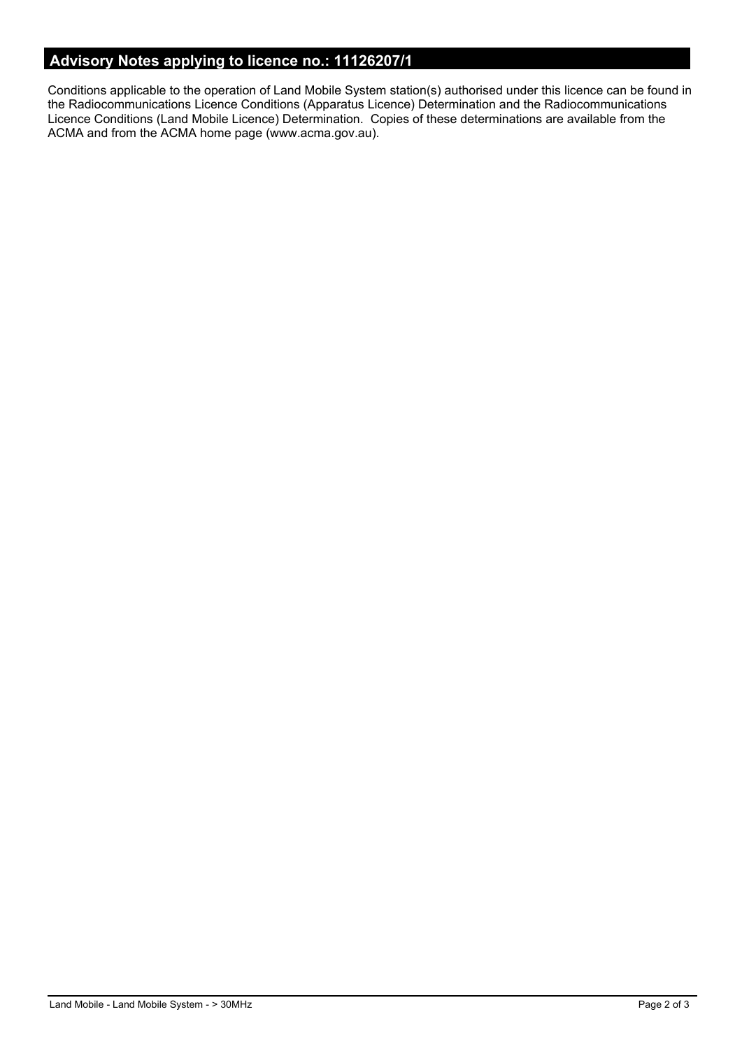# **Advisory Notes applying to licence no.: 11126207/1**

Conditions applicable to the operation of Land Mobile System station(s) authorised under this licence can be found in the Radiocommunications Licence Conditions (Apparatus Licence) Determination and the Radiocommunications Licence Conditions (Land Mobile Licence) Determination. Copies of these determinations are available from the ACMA and from the ACMA home page (www.acma.gov.au).